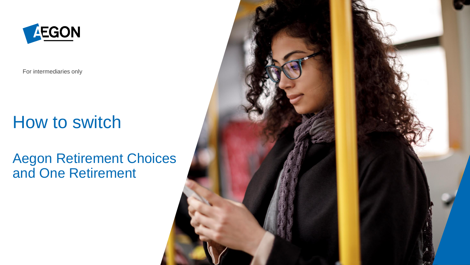

For intermediaries only

## How to switch

#### Aegon Retirement Choices and One Retirement

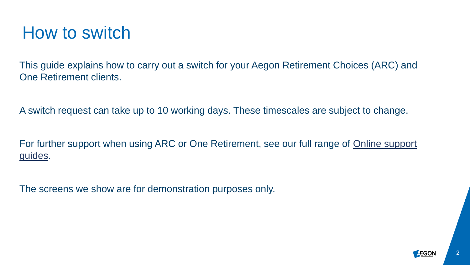### How to switch

This guide explains how to carry out a switch for your Aegon Retirement Choices (ARC) and One Retirement clients.

A switch request can take up to 10 working days. These timescales are subject to change.

For further support when using ARC or One Retirement, see our full range of **Online support** guides.

The screens we show are for demonstration purposes only.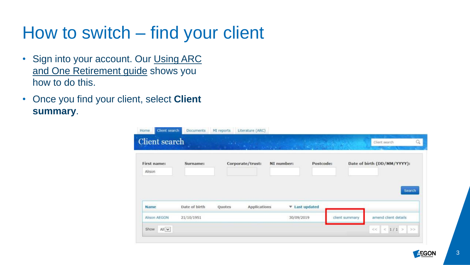# How to switch – find your client

- [Sign into your account. Our Using ARC](https://www.aegon.co.uk/content/dam/ukpaw/documents/ARC-OR-adviser-login.pdf) and One Retirement guide shows you how to do this.
- Once you find your client, select **Client summary**.

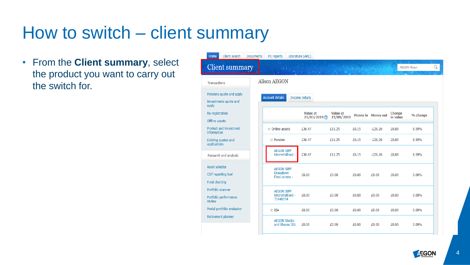# How to switch – client summary

• From the **Client summary**, select the product you want to carry out the switch for.

| <b>Home</b>                     | Client search                                   | <b>Documents</b> | MI reports                                        | Literature (ARC) |                                  |                               |       |                           |                     |          |   |
|---------------------------------|-------------------------------------------------|------------------|---------------------------------------------------|------------------|----------------------------------|-------------------------------|-------|---------------------------|---------------------|----------|---|
|                                 | Client summary                                  |                  |                                                   |                  | $-1.33333338$                    |                               |       |                           | <b>AEGON Alison</b> |          | Q |
| ransactions                     |                                                 |                  | <b>Alison AEGON</b>                               |                  |                                  |                               |       |                           |                     |          |   |
| pply                            | ensions quote and apply<br>nvestments quote and |                  | <b>Account details</b>                            | Income details   |                                  |                               |       |                           |                     |          |   |
| e-registration<br>ffline assets |                                                 |                  |                                                   |                  | Value at<br>$23/03/2019$ $\circ$ | <b>Value at</b><br>23/09/2019 |       | <b>Money in Money out</b> | Change<br>in value  | % change |   |
| <b>nformation</b>               | roduct and investment                           |                  | $\equiv$ Online assets                            |                  | £36.47                           | £11.25                        | £0.15 | $-E26.26$                 | £0.89               | 8.59%    |   |
| pplications                     | xisting quotes and                              |                  | $\equiv$ Pension                                  |                  | £36.47                           | £11.25                        | £0.15 | $-E26.26$                 | £0.89               | 8.59%    |   |
|                                 | esearch and analysis                            |                  | <b>AEGON SIPP</b><br>Uncrystallised -             |                  | £36.47                           | £11.25                        | £0.15 | $-E26.26$                 | £0.89               | 8.59%    |   |
| sset selector<br>und charting   | GT reporting tool                               |                  | <b>AEGON SIPP</b><br>Drawdown<br>Flexi-access -   |                  | £0.00                            | £0.00                         | £0.00 | £0.00                     | £0.00               | 0.00%    |   |
| eview                           | ortfolio scanner<br>ortfolio performance        |                  | <b>AEGON SIPP</b><br>Uncrystallised -<br>71840254 |                  | £0.00                            | £0.00                         | £0.00 | £0.00                     | £0.00               | 0.00%    |   |
|                                 | lodel portfolio evaluator                       |                  | $\equiv$ ISA                                      |                  | £0.00                            | £0.00                         | £0.00 | £0.00                     | £0.00               | 0.00%    |   |
|                                 | etirement planner                               |                  | <b>AEGON Stocks</b><br>and Shares ISA             |                  | £0.00                            | £0.00                         | £0.00 | £0.00                     | £0.00               | 0.00%    |   |
|                                 |                                                 |                  |                                                   |                  |                                  |                               |       |                           |                     |          |   |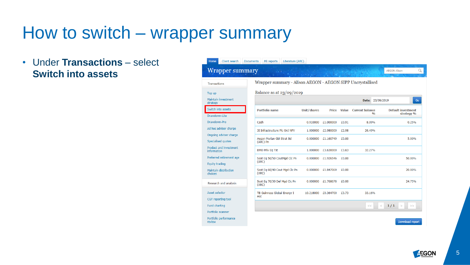### How to switch – wrapper summary

• Under **Transactions** – select **Switch into assets**

| Home<br>Client search<br><b>Documents</b>         | Literature (ARC)<br>MI reports                             |             |              |       |                               |                                         |
|---------------------------------------------------|------------------------------------------------------------|-------------|--------------|-------|-------------------------------|-----------------------------------------|
| Wrapper summary                                   |                                                            |             |              |       |                               | Q<br><b>AEGON Alison</b>                |
| <b>Transactions</b>                               | Wrapper summary - Alison AEGON - AEGON SIPP Uncrystallised |             |              |       |                               |                                         |
| Top up                                            | Balance as at $23/09/2019$                                 |             |              |       |                               |                                         |
| Maintain investment<br>strategy                   |                                                            |             |              |       | Date:                         | 23/09/2019<br>Go                        |
| Switch into assets                                | <b>Portfolio name</b>                                      | Unit/shares | <b>Price</b> | Value | <b>Current balance</b><br>0/n | <b>Default investment</b><br>strategy % |
| Drawdown-Lite                                     |                                                            |             |              |       |                               |                                         |
| Drawdown-Pro                                      | Cash                                                       | 0.910000    | £1,000000    | £0.91 | 8.09%                         | 0.25%                                   |
| Ad hoc adviser charge                             | 3I Infrastructure Plc Ord NPV                              | 1.000000    | £2,980000    | £2.98 | 26.49%                        |                                         |
| Ongoing adviser charge                            |                                                            |             |              |       |                               |                                         |
| Specialised quotes                                | Aegon Merian Gbl Strat Bd<br>(ARC) Pn                      | 0.000000    | £1.160749    | £0.00 |                               | 5.00%                                   |
| Product and investment<br>information             | <b>BMO Priv Eq Tst</b>                                     | 1.000000    | £3,630000    | £3.63 | 32.27%                        |                                         |
| Preferred retirement age<br><b>Equity trading</b> | Scot Eq 50/50 CautMgd Clc Pn<br>(ARC)                      | 0.000000    | £1.926546    | £0.00 |                               | 50.00%                                  |
| Maintain distribution<br>choices                  | Scot Eq 60/40 Caut Mgd Clc Pn<br>(ARC)                     | 0.000000    | £1,847069    | £0.00 |                               | 20.00%                                  |
| Research and analysis                             | Scot Eq 70/30 Def Mgd Clc Pn<br>(ARC)                      | 0.000000    | £1.768678    | £0.00 |                               | 24.75%                                  |
| Asset selector                                    | TB Guinness Global Energy I                                | 10.218000   | £0.364700    | £3.73 | 33.16%                        |                                         |
| CGT reporting tool                                | Acc                                                        |             |              |       |                               |                                         |
| <b>Fund charting</b>                              |                                                            |             |              |       | <<                            | 1/1<br>$\,<\,$<br>$\geq$<br>>           |
| Portfolio scanner                                 |                                                            |             |              |       |                               |                                         |
| Portfolio performance<br>review                   |                                                            |             |              |       |                               | Download report                         |

**AEGON** 

5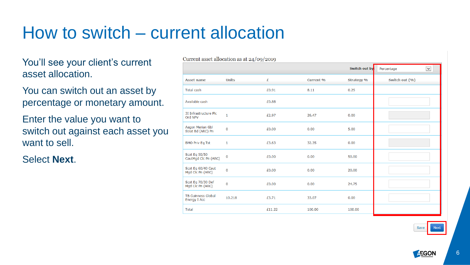### How to switch – current allocation

You'll see your client's current asset allocation.

You can switch out an asset by percentage or monetary amount.

Enter the value you want to switch out against each asset you want to sell.

Select **Next**.

Current asset allocation as at 24/09/2019

|                                                  |              |        |                  | Switch out by     | $\blacktriangledown$<br>Percentage |
|--------------------------------------------------|--------------|--------|------------------|-------------------|------------------------------------|
| <b>Asset name</b>                                | <b>Units</b> | £      | <b>Current %</b> | <b>Strategy %</b> | Switch out (%)                     |
| <b>Total cash</b>                                |              | £0.91  | 8.11             | 0.25              |                                    |
| Available cash                                   |              | £0.88  |                  |                   |                                    |
| 3I Infrastructure Plc<br>Ord NPV                 | $\mathbf{1}$ | £2.97  | 26.47            | 0.00              |                                    |
| Aegon Merian Gbl<br>Strat Bd (ARC) Pn            | $\mathbf 0$  | £0.00  | 0.00             | 5.00              |                                    |
| <b>BMO Priv Eq Tst</b>                           | $\mathbf{1}$ | £3.63  | 32.35            | 0.00              |                                    |
| Scot Eq 50/50<br>CautMgd Clc Pn (ARC)            | 0            | £0.00  | 0.00             | 50.00             |                                    |
| Scot Eq 60/40 Caut<br>Mgd Clc Pn (ARC)           | $\mathbf 0$  | £0.00  | 0.00             | 20.00             |                                    |
| Scot Eq 70/30 Def<br>Mgd Clc Pn (ARC)            | $\mathbf 0$  | £0.00  | 0.00             | 24.75             |                                    |
| <b>TB Guinness Global</b><br><b>Energy I Acc</b> | 10.218       | £3.71  | 33.07            | 0.00              |                                    |
| <b>Total</b>                                     |              | £11.22 | 100.00           | 100.00            |                                    |

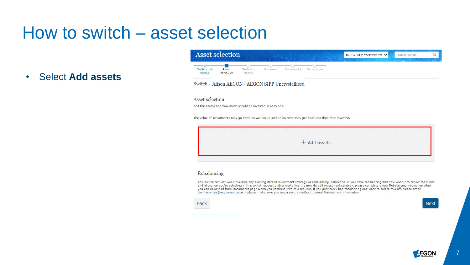#### How to switch – asset selection

**Select Add assets**  $\bullet$ 

| <b>Asset selection</b>                 |                    |                     |         |           |             | Norma Hill (157/3393/132) V | Hughes Ronald |  |
|----------------------------------------|--------------------|---------------------|---------|-----------|-------------|-----------------------------|---------------|--|
| Switch out<br>assets<br>- 22 - 22 - 23 | Asset<br>selection | Switch in<br>assets | oummary | Documents | Declaration |                             |               |  |

Switch - Alison AEGON - AEGON SIPP Uncrystallised

#### Asset selection

Add the assets and how much should be invested in each one.

The value of investments may go down as well as up and an investor may get back less than they invested.

|  | $+$ Add assets |  |
|--|----------------|--|
|--|----------------|--|

#### Rebalancing

This switch request won't override any existing default investment strategy or rebalancing instruction. If you have rebalancing and now want it to reflect the funds and allocation you're selecting in this switch request and/or make this the new default investment strategy, please complete a new Rebalancing instruction which you can download from Documents page when you continue with this request. If you previously had rebalancing and want to switch this off, please email clientservices@aegon-arc.co.uk - please make sure you use a secure method to email through any information.

**Back** 

**Next** 

 $\overline{7}$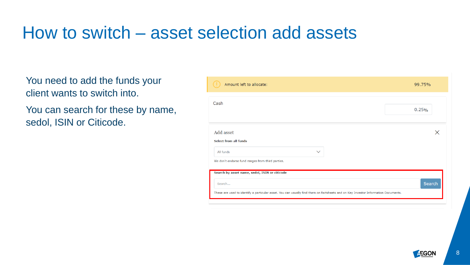### How to switch – asset selection add assets

You need to add the funds your client wants to switch into.

You can search for these by name, sedol, ISIN or Citicode.

| Amount left to allocate:                                                                                                          |              | 99.75% |
|-----------------------------------------------------------------------------------------------------------------------------------|--------------|--------|
| Cash                                                                                                                              |              | 0.25%  |
| Add asset<br><b>Select from all funds</b>                                                                                         |              | X      |
| All funds<br>We don't endorse fund ranges from third parties.                                                                     | $\checkmark$ |        |
| Search by asset name, sedol, ISIN or citicode                                                                                     |              |        |
| Search                                                                                                                            |              | Search |
| These are used to identify a particular asset. You can usually find them on factsheets and on Key Investor Information Documents. |              |        |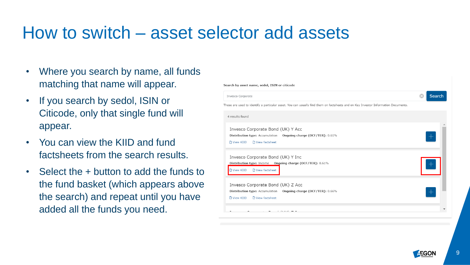#### How to switch – asset selector add assets

- Where you search by name, all funds matching that name will appear.
- If you search by sedol, ISIN or Citicode, only that single fund will appear.
- You can view the KIID and fund factsheets from the search results.
- Select the + button to add the funds to the fund basket (which appears above the search) and repeat until you have added all the funds you need.

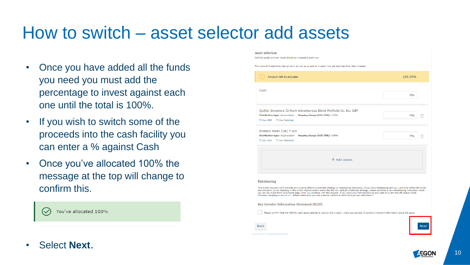### How to switch – asset selector add assets

- Once you have added all the funds you need you must add the percentage to invest against each one until the total is 100%.
- If you wish to switch some of the proceeds into the cash facility you can enter a % against Cash
- Once you've allocated 100% the message at the top will change to confirm this.



#### Asset selection

Add the assets and how much should be invested in each one.

The value of investments may go down as well as up and an investor may get back less than they invested

| Amount left to allocate:                                                                                                                                                                                                                                                                                                                                                                                                                                                                                                                                                                                                        | 100.00% |
|---------------------------------------------------------------------------------------------------------------------------------------------------------------------------------------------------------------------------------------------------------------------------------------------------------------------------------------------------------------------------------------------------------------------------------------------------------------------------------------------------------------------------------------------------------------------------------------------------------------------------------|---------|
| Cash                                                                                                                                                                                                                                                                                                                                                                                                                                                                                                                                                                                                                            | 0%      |
| Ouilter Investors Cirilium Adventurous Blend Portfolio U1 Acc GBP<br>Ongoing charge (OCF/TER): 0.85%<br><b>Distribution type: Accumulation</b><br>View KIID<br>n View factsheet                                                                                                                                                                                                                                                                                                                                                                                                                                                 | 0%      |
| Invesco Asian (UK) Y Acc<br><b>Distribution type: Accumulation</b><br>Ongoing charge (OCF/TER): 0.90%<br>N View factsheet<br><b>D</b> View KIID                                                                                                                                                                                                                                                                                                                                                                                                                                                                                 | 0%      |
| $+$ Add assets                                                                                                                                                                                                                                                                                                                                                                                                                                                                                                                                                                                                                  |         |
| Rebalancing<br>This switch request won't override any existing default investment strategy or rebalancing instruction. If you have rebalancing and now want it to reflect the funds<br>and allocation you're selecting in this switch request and/or make this the new default investment strategy, please complete a new Rebalancing instruction which<br>you can download from Documents page when you continue with this request. If you previously had rebalancing and want to switch this off, please email<br>clientservices@aegon-arc.co.uk - please make sure you use a secure method to email through any information. |         |
| Key Investor Information Document (KIID)                                                                                                                                                                                                                                                                                                                                                                                                                                                                                                                                                                                        |         |
| Please confirm that the KIID for each asset selected is read by the investor, where appropriate. It contains important information about the asset.<br><b>Back</b>                                                                                                                                                                                                                                                                                                                                                                                                                                                              |         |

• Select **Next**.

**AEGON** 

10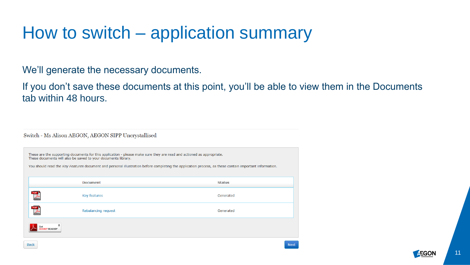# How to switch – application summary

We'll generate the necessary documents.

If you don't save these documents at this point, you'll be able to view them in the Documents tab within 48 hours.

Switch - Ms Alison AEGON, AEGON SIPP Uncrystallised

| These are the supporting documents for this application - please make sure they are read and actioned as appropriate.<br>These documents will also be saved to your documents library.<br>You should read the Key Features document and personal illustration before completing the application process, as these contain important information. |                     |               |  |  |  |  |
|--------------------------------------------------------------------------------------------------------------------------------------------------------------------------------------------------------------------------------------------------------------------------------------------------------------------------------------------------|---------------------|---------------|--|--|--|--|
|                                                                                                                                                                                                                                                                                                                                                  | <b>Document</b>     | <b>Status</b> |  |  |  |  |
|                                                                                                                                                                                                                                                                                                                                                  | Key features        | Generated     |  |  |  |  |
|                                                                                                                                                                                                                                                                                                                                                  | Rebalancing request | Generated     |  |  |  |  |
| <b>READER®</b>                                                                                                                                                                                                                                                                                                                                   |                     |               |  |  |  |  |

Back

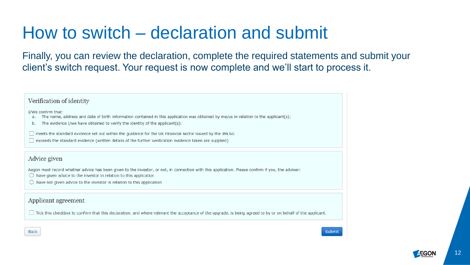#### How to switch – declaration and submit

Finally, you can review the declaration, complete the required statements and submit your client's switch request. Your request is now complete and we'll start to process it.

#### Verification of identity

I/We confirm that:

- The name, address and date of birth information contained in this application was obtained by me/us in relation to the applicant(s); a.
- The evidence I/we have obtained to verify the identity of the applicant(s): b.
- □ meets the standard evidence set out within the guidance for the UK Financial sector issued by the JMLSG
- □ exceeds the standard evidence (written details of the further verification evidence taken are supplied)

#### Advice given

Aegon must record whether advice has been given to the investor, or not, in connection with this application. Please confirm if you, the adviser:

- $\bigcirc$  have given advice to the investor in relation to this application
- $\bigcirc$  have not given advice to the investor in relation to this application

#### Applicant agreement

Tick this checkbox to confirm that this declaration, and where relevant the acceptance of the upgrade, is being agreed to by or on behalf of the applicant.